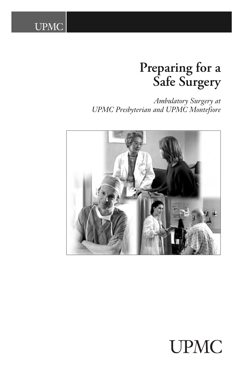# **Preparing for a Safe Surgery**

*Ambulatory Surgery at UPMC Presbyterian and UPMC Montefiore*

**UPMC** 



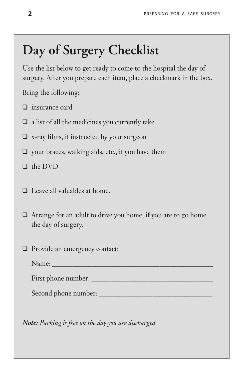# **Day of Surgery Checklist**

Use the list below to get ready to come to the hospital the day of surgery. After you prepare each item, place a checkmark in the box.

Bring the following:

- ❑ insurance card
- $\Box$  a list of all the medicines you currently take
- $\Box$  x-ray films, if instructed by your surgeon
- ❑ your braces, walking aids, etc., if you have them
- ❑ the DVD
- ❑ Leave all valuables at home.
- ❑ Arrange for an adult to drive you home, if you are to go home the day of surgery.
- ❑ Provide an emergency contact:

| Name: |  |
|-------|--|
|       |  |

First phone number: \_\_\_\_\_\_\_\_\_\_\_\_\_\_\_\_\_\_\_\_\_\_\_\_\_\_\_\_\_\_\_\_\_\_\_\_\_

Second phone number:

*Note: Parking is free on the day you are discharged.*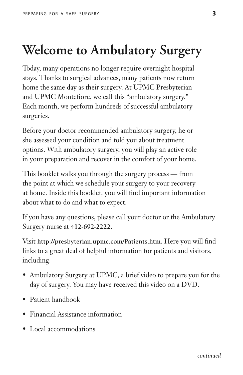# **Welcome to Ambulatory Surgery**

Today, many operations no longer require overnight hospital stays. Thanks to surgical advances, many patients now return home the same day as their surgery. At UPMC Presbyterian and UPMC Montefiore, we call this "ambulatory surgery." Each month, we perform hundreds of successful ambulatory surgeries.

Before your doctor recommended ambulatory surgery, he or she assessed your condition and told you about treatment options. With ambulatory surgery, you will play an active role in your preparation and recover in the comfort of your home.

This booklet walks you through the surgery process — from the point at which we schedule your surgery to your recovery at home. Inside this booklet, you will find important information about what to do and what to expect.

If you have any questions, please call your doctor or the Ambulatory Surgery nurse at **412-692-2222**.

Visit **http://presbyterian.upmc.com/Patients.htm**. Here you will find links to a great deal of helpful information for patients and visitors, including:

- Ambulatory Surgery at UPMC, a brief video to prepare you for the day of surgery. You may have received this video on a DVD.
- Patient handbook
- Financial Assistance information
- Local accommodations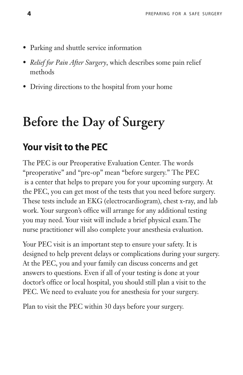- Parking and shuttle service information
- *Relief for Pain After Surgery*, which describes some pain relief methods
- Driving directions to the hospital from your home

# **Before the Day of Surgery**

### **Your visit to the PEC**

The PEC is our Preoperative Evaluation Center. The words "preoperative" and "pre-op" mean "before surgery." The PEC is a center that helps to prepare you for your upcoming surgery. At the PEC, you can get most of the tests that you need before surgery. These tests include an EKG (electrocardiogram), chest x-ray, and lab work. Your surgeon's office will arrange for any additional testing you may need. Your visit will include a brief physical exam.The nurse practitioner will also complete your anesthesia evaluation.

Your PEC visit is an important step to ensure your safety. It is designed to help prevent delays or complications during your surgery. At the PEC, you and your family can discuss concerns and get answers to questions. Even if all of your testing is done at your doctor's office or local hospital, you should still plan a visit to the PEC. We need to evaluate you for anesthesia for your surgery.

Plan to visit the PEC within 30 days before your surgery.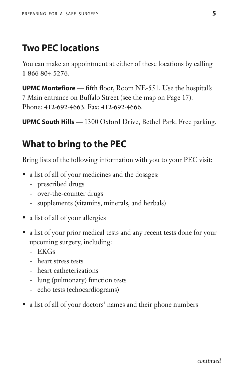### **Two PEC locations**

You can make an appointment at either of these locations by calling **1-866-804-5276**.

**UPMC Montefiore** — fifth floor, Room NE-551. Use the hospital's 7 Main entrance on Buffalo Street (see the map on Page 17). Phone: **412-692-4663**. Fax: **412-692-4666**.

**UPMC South Hills** — 1300 Oxford Drive, Bethel Park. Free parking.

### **What to bring to the PEC**

Bring lists of the following information with you to your PEC visit:

- a list of all of your medicines and the dosages:
	- prescribed drugs
	- over-the-counter drugs
	- supplements (vitamins, minerals, and herbals)
- a list of all of your allergies
- a list of your prior medical tests and any recent tests done for your upcoming surgery, including:
	- EKGs
	- heart stress tests
	- heart catheterizations
	- lung (pulmonary) function tests
	- echo tests (echocardiograms)
- a list of all of your doctors' names and their phone numbers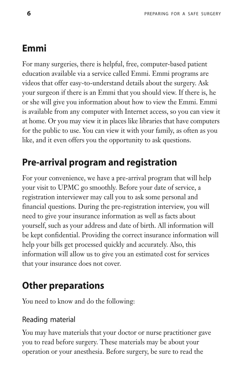## **Emmi**

For many surgeries, there is helpful, free, computer-based patient education available via a service called Emmi. Emmi programs are videos that offer easy-to-understand details about the surgery. Ask your surgeon if there is an Emmi that you should view. If there is, he or she will give you information about how to view the Emmi. Emmi is available from any computer with Internet access, so you can view it at home. Or you may view it in places like libraries that have computers for the public to use. You can view it with your family, as often as you like, and it even offers you the opportunity to ask questions.

## **Pre-arrival program and registration**

For your convenience, we have a pre-arrival program that will help your visit to UPMC go smoothly. Before your date of service, a registration interviewer may call you to ask some personal and financial questions. During the pre-registration interview, you will need to give your insurance information as well as facts about yourself, such as your address and date of birth. All information will be kept confidential. Providing the correct insurance information will help your bills get processed quickly and accurately. Also, this information will allow us to give you an estimated cost for services that your insurance does not cover.

## **Other preparations**

You need to know and do the following:

#### Reading material

You may have materials that your doctor or nurse practitioner gave you to read before surgery. These materials may be about your operation or your anesthesia. Before surgery, be sure to read the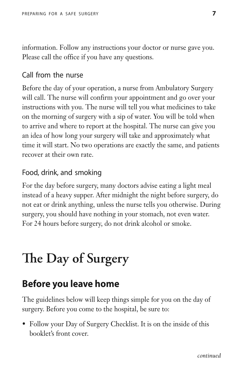information. Follow any instructions your doctor or nurse gave you. Please call the office if you have any questions.

#### Call from the nurse

Before the day of your operation, a nurse from Ambulatory Surgery will call. The nurse will confirm your appointment and go over your instructions with you. The nurse will tell you what medicines to take on the morning of surgery with a sip of water. You will be told when to arrive and where to report at the hospital. The nurse can give you an idea of how long your surgery will take and approximately what time it will start. No two operations are exactly the same, and patients recover at their own rate.

#### Food, drink, and smoking

For the day before surgery, many doctors advise eating a light meal instead of a heavy supper. After midnight the night before surgery, do not eat or drink anything, unless the nurse tells you otherwise. During surgery, you should have nothing in your stomach, not even water. For 24 hours before surgery, do not drink alcohol or smoke.

# **e Day of Surgery**

### **Before you leave home**

The guidelines below will keep things simple for you on the day of surgery. Before you come to the hospital, be sure to:

• Follow your Day of Surgery Checklist. It is on the inside of this booklet's front cover.

*continued*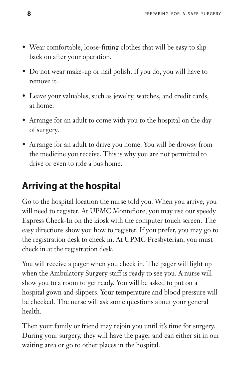- Wear comfortable, loose-fitting clothes that will be easy to slip back on after your operation.
- Do not wear make-up or nail polish. If you do, you will have to remove it.
- Leave your valuables, such as jewelry, watches, and credit cards, at home.
- Arrange for an adult to come with you to the hospital on the day of surgery.
- Arrange for an adult to drive you home. You will be drowsy from the medicine you receive. This is why you are not permitted to drive or even to ride a bus home.

### **Arriving at the hospital**

Go to the hospital location the nurse told you. When you arrive, you will need to register. At UPMC Montefiore, you may use our speedy Express Check-In on the kiosk with the computer touch screen. The easy directions show you how to register. If you prefer, you may go to the registration desk to check in. At UPMC Presbyterian, you must check in at the registration desk.

You will receive a pager when you check in. The pager will light up when the Ambulatory Surgery staff is ready to see you. A nurse will show you to a room to get ready. You will be asked to put on a hospital gown and slippers. Your temperature and blood pressure will be checked. The nurse will ask some questions about your general health.

Then your family or friend may rejoin you until it's time for surgery. During your surgery, they will have the pager and can either sit in our waiting area or go to other places in the hospital.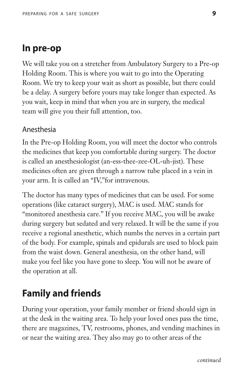#### **In pre-op**

We will take you on a stretcher from Ambulatory Surgery to a Pre-op Holding Room. This is where you wait to go into the Operating Room. We try to keep your wait as short as possible, but there could be a delay. A surgery before yours may take longer than expected. As you wait, keep in mind that when you are in surgery, the medical team will give you their full attention, too.

#### Anesthesia

In the Pre-op Holding Room, you will meet the doctor who controls the medicines that keep you comfortable during surgery. The doctor is called an anesthesiologist (an-ess-thee-zee-OL-uh-jist). These medicines often are given through a narrow tube placed in a vein in your arm. It is called an "IV,"for intravenous.

The doctor has many types of medicines that can be used. For some operations (like cataract surgery), MAC is used. MAC stands for "monitored anesthesia care." If you receive MAC, you will be awake during surgery but sedated and very relaxed. It will be the same if you receive a regional anesthetic, which numbs the nerves in a certain part of the body. For example, spinals and epidurals are used to block pain from the waist down. General anesthesia, on the other hand, will make you feel like you have gone to sleep. You will not be aware of the operation at all.

### **Family and friends**

During your operation, your family member or friend should sign in at the desk in the waiting area. To help your loved ones pass the time, there are magazines, TV, restrooms, phones, and vending machines in or near the waiting area. They also may go to other areas of the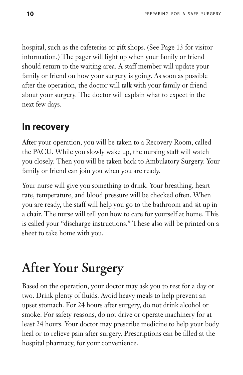hospital, such as the cafeterias or gift shops. (See Page 13 for visitor information.) The pager will light up when your family or friend should return to the waiting area. A staff member will update your family or friend on how your surgery is going. As soon as possible after the operation, the doctor will talk with your family or friend about your surgery. The doctor will explain what to expect in the next few days.

### **In recovery**

After your operation, you will be taken to a Recovery Room, called the PACU. While you slowly wake up, the nursing staff will watch you closely. Then you will be taken back to Ambulatory Surgery. Your family or friend can join you when you are ready.

Your nurse will give you something to drink. Your breathing, heart rate, temperature, and blood pressure will be checked often. When you are ready, the staff will help you go to the bathroom and sit up in a chair. The nurse will tell you how to care for yourself at home. This is called your "discharge instructions." These also will be printed on a sheet to take home with you.

# **After Your Surgery**

Based on the operation, your doctor may ask you to rest for a day or two. Drink plenty of fluids. Avoid heavy meals to help prevent an upset stomach. For 24 hours after surgery, do not drink alcohol or smoke. For safety reasons, do not drive or operate machinery for at least 24 hours. Your doctor may prescribe medicine to help your body heal or to relieve pain after surgery. Prescriptions can be filled at the hospital pharmacy, for your convenience.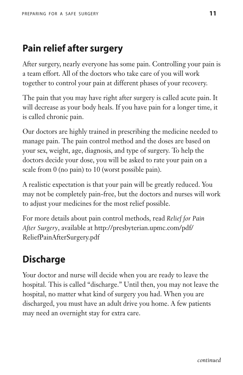### **Pain relief after surgery**

After surgery, nearly everyone has some pain. Controlling your pain is a team effort. All of the doctors who take care of you will work together to control your pain at different phases of your recovery.

The pain that you may have right after surgery is called acute pain. It will decrease as your body heals. If you have pain for a longer time, it is called chronic pain.

Our doctors are highly trained in prescribing the medicine needed to manage pain. The pain control method and the doses are based on your sex, weight, age, diagnosis, and type of surgery. To help the doctors decide your dose, you will be asked to rate your pain on a scale from 0 (no pain) to 10 (worst possible pain).

A realistic expectation is that your pain will be greatly reduced. You may not be completely pain-free, but the doctors and nurses will work to adjust your medicines for the most relief possible.

For more details about pain control methods, read *Relief for Pain After Surgery*, available at http://presbyterian.upmc.com/pdf/ ReliefPainAfterSurgery.pdf

## **Discharge**

Your doctor and nurse will decide when you are ready to leave the hospital. This is called "discharge." Until then, you may not leave the hospital, no matter what kind of surgery you had. When you are discharged, you must have an adult drive you home. A few patients may need an overnight stay for extra care.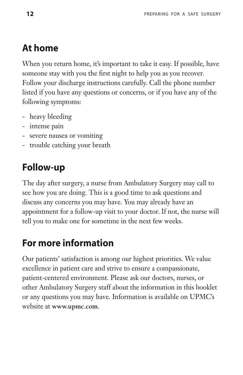### **At home**

When you return home, it's important to take it easy. If possible, have someone stay with you the first night to help you as you recover. Follow your discharge instructions carefully. Call the phone number listed if you have any questions or concerns, or if you have any of the following symptoms:

- heavy bleeding
- intense pain
- severe nausea or vomiting
- trouble catching your breath

### **Follow-up**

The day after surgery, a nurse from Ambulatory Surgery may call to see how you are doing. This is a good time to ask questions and discuss any concerns you may have. You may already have an appointment for a follow-up visit to your doctor. If not, the nurse will tell you to make one for sometime in the next few weeks.

### **For more information**

Our patients' satisfaction is among our highest priorities. We value excellence in patient care and strive to ensure a compassionate, patient-centered environment. Please ask our doctors, nurses, or other Ambulatory Surgery staff about the information in this booklet or any questions you may have. Information is available on UPMC's website at **www.upmc.com**.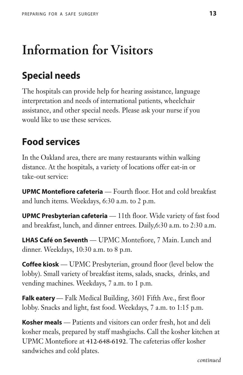# **Information for Visitors**

### **Special needs**

The hospitals can provide help for hearing assistance, language interpretation and needs of international patients, wheelchair assistance, and other special needs. Please ask your nurse if you would like to use these services.

### **Food services**

In the Oakland area, there are many restaurants within walking distance. At the hospitals, a variety of locations offer eat-in or take-out service:

**UPMC Montefiore cafeteria** — Fourth floor. Hot and cold breakfast and lunch items. Weekdays, 6:30 a.m. to 2 p.m.

**UPMC Presbyterian cafeteria** — 11th floor. Wide variety of fast food and breakfast, lunch, and dinner entrees. Daily,6:30 a.m. to 2:30 a.m.

**LHAS Café on Seventh** — UPMC Montefiore, 7 Main. Lunch and dinner. Weekdays, 10:30 a.m. to 8 p.m.

**Coffee kiosk** — UPMC Presbyterian, ground floor (level below the lobby). Small variety of breakfast items, salads, snacks, drinks, and vending machines. Weekdays, 7 a.m. to 1 p.m.

**Falk eatery** — Falk Medical Building, 3601 Fifth Ave., first floor lobby. Snacks and light, fast food. Weekdays, 7 a.m. to 1:15 p.m.

**Kosher meals** — Patients and visitors can order fresh, hot and deli kosher meals, prepared by staff mashgiachs. Call the kosher kitchen at UPMC Montefiore at **412-648-6192**. The cafeterias offer kosher sandwiches and cold plates.

*continued*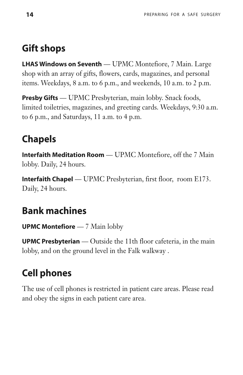### **Gift shops**

**LHAS Windows on Seventh** — UPMC Montefiore, 7 Main. Large shop with an array of gifts, flowers, cards, magazines, and personal items. Weekdays, 8 a.m. to 6 p.m., and weekends, 10 a.m. to 2 p.m.

**Presby Gifts** — UPMC Presbyterian, main lobby. Snack foods, limited toiletries, magazines, and greeting cards. Weekdays, 9:30 a.m. to 6 p.m., and Saturdays, 11 a.m. to 4 p.m.

## **Chapels**

**Interfaith Meditation Room** — UPMC Montefiore, off the 7 Main lobby. Daily, 24 hours.

**Interfaith Chapel** — UPMC Presbyterian, first floor, room E173. Daily, 24 hours.

### **Bank machines**

**UPMC Montefiore** — 7 Main lobby

**UPMC Presbyterian** — Outside the 11th floor cafeteria, in the main lobby, and on the ground level in the Falk walkway .

## **Cell phones**

The use of cell phones is restricted in patient care areas. Please read and obey the signs in each patient care area.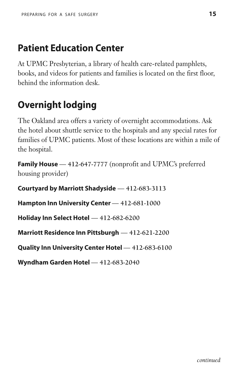### **Patient Education Center**

At UPMC Presbyterian, a library of health care-related pamphlets, books, and videos for patients and families is located on the first floor, behind the information desk.

### **Overnight lodging**

The Oakland area offers a variety of overnight accommodations. Ask the hotel about shuttle service to the hospitals and any special rates for families of UPMC patients. Most of these locations are within a mile of the hospital.

**Family House** — **412-647-7777** (nonprofit and UPMC's preferred housing provider)

**Courtyard by Marriott Shadyside** — **412-683-3113**

**Hampton Inn University Center** — **412-681-1000**

**Holiday Inn Select Hotel** — **412-682-6200**

**Marriott Residence Inn Pittsburgh** — **412-621-2200**

**Quality Inn University Center Hotel** — **412-683-6100**

**Wyndham Garden Hotel** — **412-683-2040**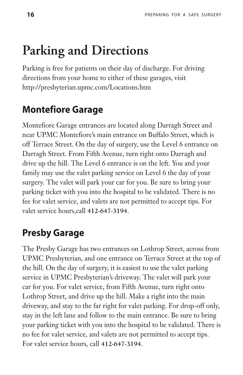## **Parking and Directions**

Parking is free for patients on their day of discharge. For driving directions from your home to either of these garages, visit http://presbyterian.upmc.com/Locations.htm

### **Montefiore Garage**

Montefiore Garage entrances are located along Darragh Street and near UPMC Montefiore's main entrance on Buffalo Street, which is off Terrace Street. On the day of surgery, use the Level 6 entrance on Darragh Street. From Fifth Avenue, turn right onto Darragh and drive up the hill. The Level 6 entrance is on the left. You and your family may use the valet parking service on Level 6 the day of your surgery. The valet will park your car for you. Be sure to bring your parking ticket with you into the hospital to be validated. There is no fee for valet service, and valets are not permitted to accept tips. For valet service hours,call **412-647-3194**.

### **Presby Garage**

The Presby Garage has two entrances on Lothrop Street, across from UPMC Presbyterian, and one entrance on Terrace Street at the top of the hill. On the day of surgery, it is easiest to use the valet parking service in UPMC Presbyterian's driveway. The valet will park your car for you. For valet service, from Fifth Avenue, turn right onto Lothrop Street, and drive up the hill. Make a right into the main driveway, and stay to the far right for valet parking. For drop-off only, stay in the left lane and follow to the main entrance. Be sure to bring your parking ticket with you into the hospital to be validated. There is no fee for valet service, and valets are not permitted to accept tips. For valet service hours, call **412-647-3194**.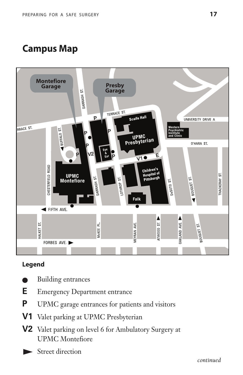### **Campus Map**



#### **Legend**

- Building entrances
- **E** Emergency Department entrance
- **P** UPMC garage entrances for patients and visitors
- **V1** Valet parking at UPMC Presbyterian
- **V2** Valet parking on level 6 for Ambulatory Surgery at UPMC Montefiore
- Street direction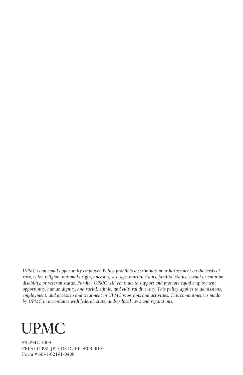*UPMC is an equal opportunity employer. Policy prohibits discrimination or harassment on the basis of race, color, religion, national origin, ancestry, sex, age, marital status, familial status, sexual orientation, disability, or veteran status. Further, UPMC will continue to support and promote equal employment opportunity, human dignity, and racial, ethnic, and cultural diversity. This policy applies to admissions, employment, and access to and treatment in UPMC programs and activities. This commitment is made by UPMC in accordance with federal, state, and/or local laws and regulations.*



©UPMC 2008 PRES333390 JPL/JDS DUPE 4/08 REV Form # 6041-82191-0408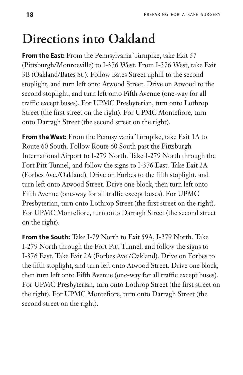# **Directions into Oakland**

**From the East:** From the Pennsylvania Turnpike, take Exit 57 (Pittsburgh/Monroeville) to I-376 West. From I-376 West, take Exit 3B (Oakland/Bates St.). Follow Bates Street uphill to the second stoplight, and turn left onto Atwood Street. Drive on Atwood to the second stoplight, and turn left onto Fifth Avenue (one-way for all traffic except buses). For UPMC Presbyterian, turn onto Lothrop Street (the first street on the right). For UPMC Montefiore, turn onto Darragh Street (the second street on the right).

**From the West:** From the Pennsylvania Turnpike, take Exit 1A to Route 60 South. Follow Route 60 South past the Pittsburgh International Airport to I-279 North. Take I-279 North through the Fort Pitt Tunnel, and follow the signs to I-376 East. Take Exit 2A (Forbes Ave./Oakland). Drive on Forbes to the fifth stoplight, and turn left onto Atwood Street. Drive one block, then turn left onto Fifth Avenue (one-way for all traffic except buses). For UPMC Presbyterian, turn onto Lothrop Street (the first street on the right). For UPMC Montefiore, turn onto Darragh Street (the second street on the right).

**From the South:** Take I-79 North to Exit 59A, I-279 North. Take I-279 North through the Fort Pitt Tunnel, and follow the signs to I-376 East. Take Exit 2A (Forbes Ave./Oakland). Drive on Forbes to the fifth stoplight, and turn left onto Atwood Street. Drive one block, then turn left onto Fifth Avenue (one-way for all traffic except buses). For UPMC Presbyterian, turn onto Lothrop Street (the first street on the right). For UPMC Montefiore, turn onto Darragh Street (the second street on the right).